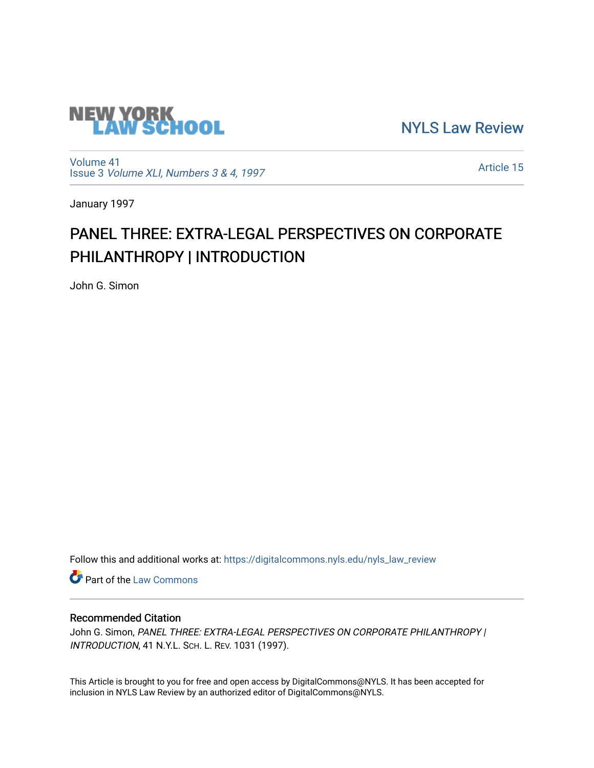

[NYLS Law Review](https://digitalcommons.nyls.edu/nyls_law_review) 

[Volume 41](https://digitalcommons.nyls.edu/nyls_law_review/vol41) Issue 3 [Volume XLI, Numbers 3 & 4, 1997](https://digitalcommons.nyls.edu/nyls_law_review/vol41/iss3)

[Article 15](https://digitalcommons.nyls.edu/nyls_law_review/vol41/iss3/15) 

January 1997

# PANEL THREE: EXTRA-LEGAL PERSPECTIVES ON CORPORATE PHILANTHROPY | INTRODUCTION

John G. Simon

Follow this and additional works at: [https://digitalcommons.nyls.edu/nyls\\_law\\_review](https://digitalcommons.nyls.edu/nyls_law_review?utm_source=digitalcommons.nyls.edu%2Fnyls_law_review%2Fvol41%2Fiss3%2F15&utm_medium=PDF&utm_campaign=PDFCoverPages) 

**Part of the [Law Commons](https://network.bepress.com/hgg/discipline/578?utm_source=digitalcommons.nyls.edu%2Fnyls_law_review%2Fvol41%2Fiss3%2F15&utm_medium=PDF&utm_campaign=PDFCoverPages)** 

## Recommended Citation

John G. Simon, PANEL THREE: EXTRA-LEGAL PERSPECTIVES ON CORPORATE PHILANTHROPY | INTRODUCTION, 41 N.Y.L. SCH. L. REV. 1031 (1997).

This Article is brought to you for free and open access by DigitalCommons@NYLS. It has been accepted for inclusion in NYLS Law Review by an authorized editor of DigitalCommons@NYLS.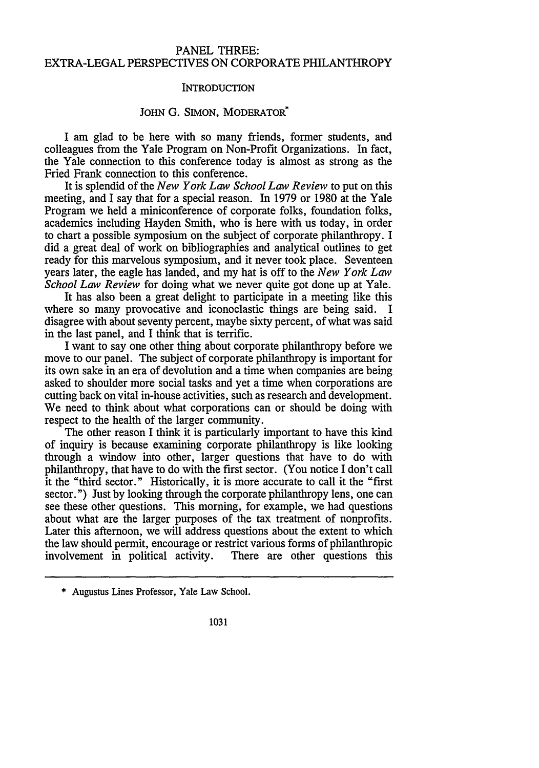### PANEL THREE: EXTRA-LEGAL PERSPECTIVES ON CORPORATE PHILANTHROPY

#### **INTRODUCTION**

#### JOHN G. SIMON, MODERATOR<sup>\*</sup>

I am glad to be here with so many friends, former students, and colleagues from the Yale Program on Non-Profit Organizations. In fact, the Yale connection to this conference today is almost as strong as the Fried Frank connection to this conference.

It is splendid of the *New York Law School Law Review* to put on this meeting, and I say that for a special reason. In 1979 or 1980 at the Yale Program we held a miniconference of corporate folks, foundation folks, academics including Hayden Smith, who is here with us today, in order to chart a possible symposium on the subject of corporate philanthropy. I did a great deal of work on bibliographies and analytical outlines to get ready for this marvelous symposium, and it never took place. Seventeen years later, the eagle has landed, and my hat is off to the *New York Law School Law Review* for doing what we never quite got done up at Yale.

It has also been a great delight to participate in a meeting like this where so many provocative and iconoclastic things are being said. I disagree with about seventy percent, maybe sixty percent, of what was said in the last panel, and I think that is terrific.

I want to say one other thing about corporate philanthropy before we move to our panel. The subject of corporate philanthropy is important for its own sake in an era of devolution and a time when companies are being asked to shoulder more social tasks and yet a time when corporations are cutting back on vital in-house activities, such as research and development. We need to think about what corporations can or should be doing with respect to the health of the larger community.

The other reason I think it is particularly important to have this kind of inquiry is because examining corporate philanthropy is like looking through a window into other, larger questions that have to do with philanthropy, that have to do with the first sector. (You notice I don't call it the "third sector." Historically, it is more accurate to call it the "first sector.") Just by looking through the corporate philanthropy lens, one can see these other questions. This morning, for example, we had questions about what are the larger purposes of the tax treatment of nonprofits. Later this afternoon, we will address questions about the extent to which the law should permit, encourage or restrict various forms of philanthropic involvement in political activity. There are other questions this

<sup>\*</sup> Augustus Lines Professor, Yale Law School.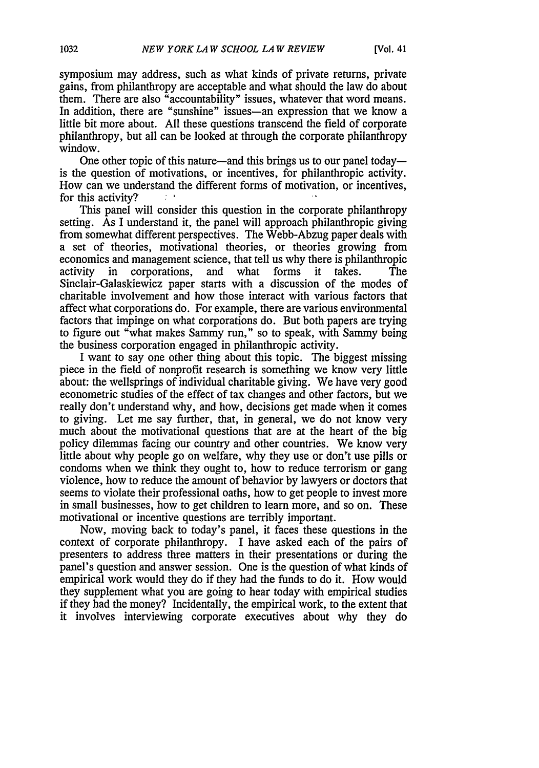symposium may address, such as what kinds of private returns, private gains, from philanthropy are acceptable and what should the law do about them. There are also "accountability" issues, whatever that word means. In addition, there are "sunshine" issues—an expression that we know a little bit more about. All these questions transcend the field of corporate philanthropy, but all can be looked at through the corporate philanthropy window.

One other topic of this nature—and this brings us to our panel today is the question of motivations, or incentives, for philanthropic activity. How can we understand the different forms of motivation, or incentives, for this activity?

This panel will consider this question in the corporate philanthropy setting. As I understand it, the panel will approach philanthropic giving from somewhat different perspectives. The Webb-Abzug paper deals with a set of theories, motivational theories, or theories growing from economics and management science, that tell us why there is philanthropic activity in corporations, and what forms it takes. The Sinclair-Galaskiewicz paper starts with a discussion of the modes of charitable involvement and how those interact with various factors that affect what corporations do. For example, there are various environmental factors that impinge on what corporations do. But both papers are trying to figure out "what makes Sammy run," so to speak, with Sammy being the business corporation engaged in philanthropic activity.

I want to say one other thing about this topic. The biggest missing piece in the field of nonprofit research is something we know very little about: the wellsprings of individual charitable giving. We have very good econometric studies of the effect of tax changes and other factors, but we really don't understand why, and how, decisions get made when it comes to giving. Let me say further, that, in general, we do not know very much about the motivational questions that are at the heart of the big policy dilemmas facing our country and other countries. We know very little about why people go on welfare, why they use or don't use pills or condoms when we think they ought to, how to reduce terrorism or gang violence, how to reduce the amount of behavior by lawyers or doctors that seems to violate their professional oaths, how to get people to invest more in small businesses, how to get children to learn more, and so on. These motivational or incentive questions are terribly important.

Now, moving back to today's panel, it faces these questions in the context of corporate philanthropy. I have asked each of the pairs of presenters to address three matters in their presentations or during the panel's question and answer session. One is the question of what kinds of empirical work would they do if they had the funds to do it. How would they supplement what you are going to hear today with empirical studies if they had the money? Incidentally, the empirical work, to the extent that it involves interviewing corporate executives about why they do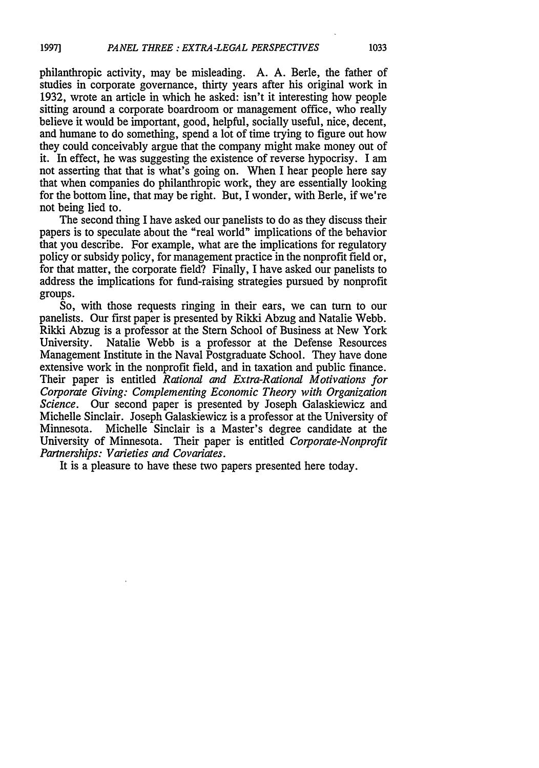philanthropic activity, may be misleading. A. A. Berle, the father of studies in corporate governance, thirty years after his original work in 1932, wrote an article in which he asked: isn't it interesting how people sitting around a corporate boardroom or management office, who really believe it would be important, good, helpful, socially useful, nice, decent, and humane to do something, spend a lot of time trying to figure out how they could conceivably argue that the company might make money out of it. In effect, he was suggesting the existence of reverse hypocrisy. I am not asserting that that is what's going on. When I hear people here say that when companies do philanthropic work, they are essentially looking for the bottom line, that may be right. But, I wonder, with Berle, if we're not being lied to.

The second thing I have asked our panelists to do as they discuss their papers is to speculate about the "real world" implications of the behavior that you describe. For example, what are the implications for regulatory policy or subsidy policy, for management practice in the nonprofit field or, for that matter, the corporate field? Finally, I have asked our panelists to address the implications for fund-raising strategies pursued by nonprofit groups.

So, with those requests ringing in their ears, we can turn to our panelists. Our first paper is presented by Rikki Abzug and Natalie Webb. Rikki Abzug is a professor at the Stern School of Business at New York University. Natalie Webb is a professor at the Defense Resources Management Institute in the Naval Postgraduate School. They have done extensive work in the nonprofit field, and in taxation and public finance. Their paper is entitled *Rational and Extra-Rational Motivations for Corporate Giving: Complementing Economic Theory with Organization Science.* Our second paper is presented by Joseph Galaskiewicz and Michelle Sinclair. Joseph Galaskiewicz is a professor at the University of Minnesota. Michelle Sinclair is a Master's degree candidate at the University of Minnesota. Their paper is entitled *Corporate-Nonprofit Partnerships: Varieties and Covariates.*

It is a pleasure to have these two papers presented here today.